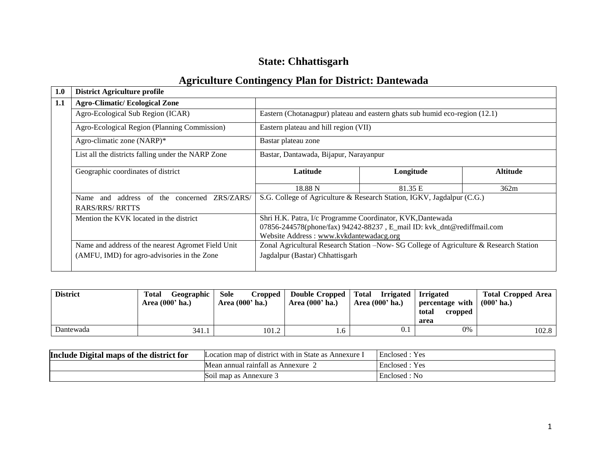# **State: Chhattisgarh**

## **Agriculture Contingency Plan for District: Dantewada**

| 1.0 | <b>District Agriculture profile</b>                |                                                                                       |           |          |  |  |
|-----|----------------------------------------------------|---------------------------------------------------------------------------------------|-----------|----------|--|--|
| 1.1 | <b>Agro-Climatic/Ecological Zone</b>               |                                                                                       |           |          |  |  |
|     | Agro-Ecological Sub Region (ICAR)                  | Eastern (Chotanagpur) plateau and eastern ghats sub humid eco-region (12.1)           |           |          |  |  |
|     | Agro-Ecological Region (Planning Commission)       | Eastern plateau and hill region (VII)                                                 |           |          |  |  |
|     | Agro-climatic zone (NARP)*                         | Bastar plateau zone                                                                   |           |          |  |  |
|     | List all the districts falling under the NARP Zone | Bastar, Dantawada, Bijapur, Narayanpur                                                |           |          |  |  |
|     | Geographic coordinates of district                 | Latitude                                                                              | Longitude | Altitude |  |  |
|     |                                                    | 18.88 N                                                                               | 81.35 E   | 362m     |  |  |
|     | Name and address of the concerned ZRS/ZARS/        | S.G. College of Agriculture & Research Station, IGKV, Jagdalpur (C.G.)                |           |          |  |  |
|     | RARS/RRS/ RRTTS                                    |                                                                                       |           |          |  |  |
|     | Mention the KVK located in the district            | Shri H.K. Patra, I/c Programme Coordinator, KVK, Dantewada                            |           |          |  |  |
|     |                                                    | 07856-244578(phone/fax) 94242-88237, E_mail ID: kvk_dnt@rediffmail.com                |           |          |  |  |
|     |                                                    | Website Address: www.kvkdantewadacg.org                                               |           |          |  |  |
|     | Name and address of the nearest Agromet Field Unit | Zonal Agricultural Research Station -Now-SG College of Agriculture & Research Station |           |          |  |  |
|     | (AMFU, IMD) for agro-advisories in the Zone        | Jagdalpur (Bastar) Chhattisgarh                                                       |           |          |  |  |
|     |                                                    |                                                                                       |           |          |  |  |

| <b>District</b> | Geographic<br><b>Total</b><br>Area $(000'$ ha.) | Sole<br><b>Cropped</b><br>Area (000' ha.) | Double Cropped<br>Area $(000'$ ha.) | Total<br>Irrigated<br>Area (000' ha.) | <b>Irrigated</b><br>percentage with<br>total<br>cropped<br>area | <b>Total Cropped Area</b><br>$(000'$ ha.) |
|-----------------|-------------------------------------------------|-------------------------------------------|-------------------------------------|---------------------------------------|-----------------------------------------------------------------|-------------------------------------------|
| Dantewada       | 341.1                                           | 101.2                                     | . 0                                 | 0.1                                   | 0%                                                              | 102.8                                     |

| Include Digital maps of the district for | Location map of district with in State as Annexure | Enclosed: Yes  |
|------------------------------------------|----------------------------------------------------|----------------|
|                                          | Mean annual rainfall as Annexure.                  | Enclosed : Yes |
|                                          | Soil map as Annexure 3                             | Enclosed: No   |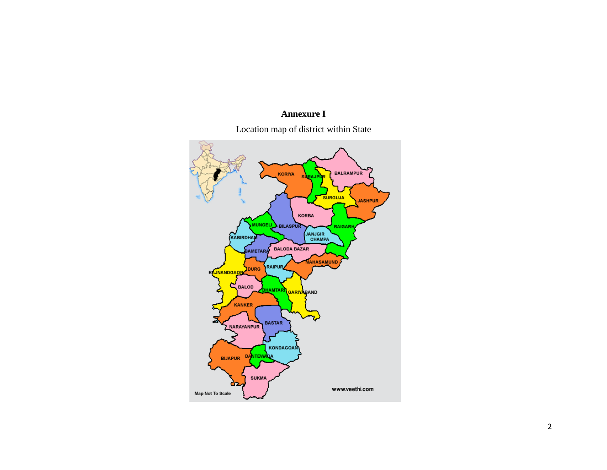## **Annexure I**

Location map of district within State

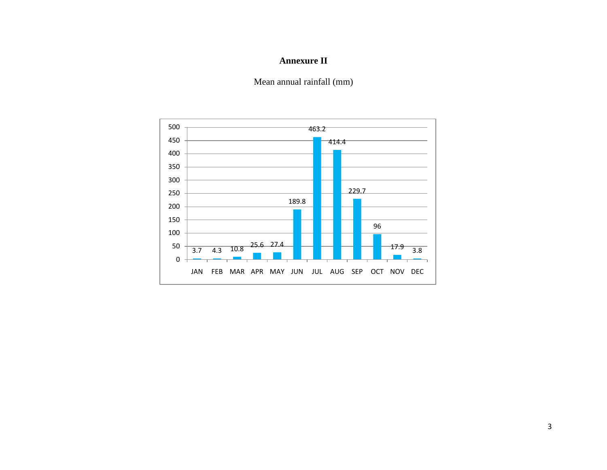## **Annexure II**

Mean annual rainfall (mm)

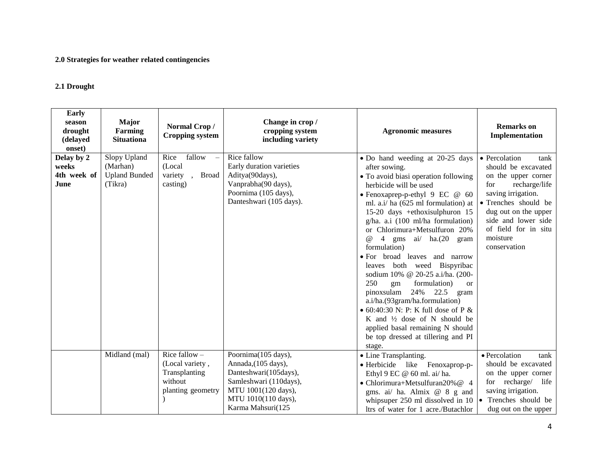#### **2.0 Strategies for weather related contingencies**

#### **2.1 Drought**

| Early<br>season<br>drought<br>(delayed<br>onset) | <b>Major</b><br>Farming<br><b>Situationa</b>                | Normal Crop/<br><b>Cropping system</b>                                              | Change in crop /<br>cropping system<br>including variety                                                                                                         | <b>Agronomic measures</b>                                                                                                                                                                                                                                                                                                                                                                                                                                                                                                                                                                                                                                                                                                                                                            | <b>Remarks</b> on<br>Implementation                                                                                                                                                                                                          |
|--------------------------------------------------|-------------------------------------------------------------|-------------------------------------------------------------------------------------|------------------------------------------------------------------------------------------------------------------------------------------------------------------|--------------------------------------------------------------------------------------------------------------------------------------------------------------------------------------------------------------------------------------------------------------------------------------------------------------------------------------------------------------------------------------------------------------------------------------------------------------------------------------------------------------------------------------------------------------------------------------------------------------------------------------------------------------------------------------------------------------------------------------------------------------------------------------|----------------------------------------------------------------------------------------------------------------------------------------------------------------------------------------------------------------------------------------------|
| Delay by 2<br>weeks<br>4th week of<br>June       | Slopy Upland<br>(Marhan)<br><b>Upland Bunded</b><br>(Tikra) | Rice<br>fallow<br>(Local<br>variety<br>, Broad<br>casting)                          | Rice fallow<br>Early duration varieties<br>Aditya(90days),<br>Vanprabha(90 days),<br>Poornima (105 days),<br>Danteshwari (105 days).                             | • Do hand weeding at 20-25 days<br>after sowing.<br>• To avoid biasi operation following<br>herbicide will be used<br>• Fenoxaprep-p-ethyl $9 \text{ EC}$ @ 60<br>ml. a.i/ ha (625 ml formulation) at<br>15-20 days +ethoxisulphuron 15<br>g/ha. a.i (100 ml/ha formulation)<br>or Chlorimura+Metsulfuron 20%<br>$\overline{4}$<br>$^{\circ}$<br>gms ai/ ha.(20 gram<br>formulation)<br>• For broad leaves and narrow<br>leaves both weed Bispyribac<br>sodium 10% @ 20-25 a.i/ha. (200-<br>250<br>formulation)<br>gm<br><b>or</b><br>pinoxsulam $24\%$ 22.5<br>gram<br>a.i/ha.(93gram/ha.formulation)<br>$\bullet$ 60:40:30 N: P: K full dose of P &<br>K and $\frac{1}{2}$ dose of N should be<br>applied basal remaining N should<br>be top dressed at tillering and PI<br>stage. | • Percolation<br>tank<br>should be excavated<br>on the upper corner<br>recharge/life<br>for<br>saving irrigation.<br>• Trenches should be<br>dug out on the upper<br>side and lower side<br>of field for in situ<br>moisture<br>conservation |
|                                                  | Midland (mal)                                               | Rice fallow $-$<br>(Local variety,<br>Transplanting<br>without<br>planting geometry | Poornima(105 days),<br>Annada, (105 days),<br>Danteshwari(105days),<br>Samleshwari (110days),<br>MTU 1001(120 days),<br>MTU 1010(110 days),<br>Karma Mahsuri(125 | • Line Transplanting.<br>· Herbicide like Fenoxaprop-p-<br>Ethyl 9 EC @ 60 ml. ai/ ha.<br>• Chlorimura+Metsulfuran20% $@$ 4<br>gms. ai/ ha. Almix @ 8 g and<br>whipsuper 250 ml dissolved in 10<br>ltrs of water for 1 acre./Butachlor                                                                                                                                                                                                                                                                                                                                                                                                                                                                                                                                               | • Percolation<br>tank<br>should be excavated<br>on the upper corner<br>for recharge/ life<br>saving irrigation.<br>Trenches should be<br>dug out on the upper                                                                                |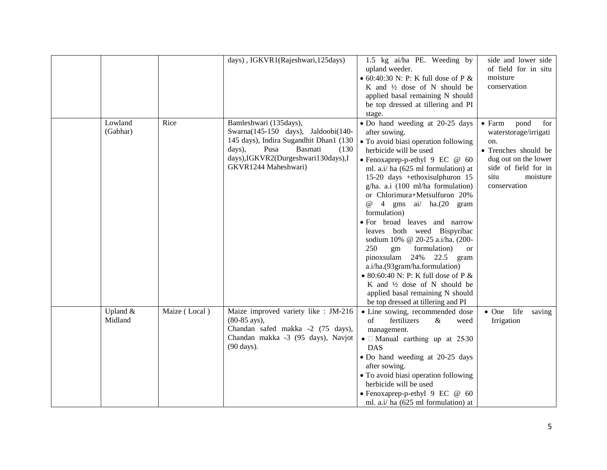|          |               | days), IGKVR1(Rajeshwari, 125days)     | 1.5 kg ai/ha PE. Weeding by                 | side and lower side           |
|----------|---------------|----------------------------------------|---------------------------------------------|-------------------------------|
|          |               |                                        | upland weeder.                              | of field for in situ          |
|          |               |                                        | $\bullet$ 60:40:30 N: P: K full dose of P & | moisture                      |
|          |               |                                        | K and 1/2 dose of N should be               | conservation                  |
|          |               |                                        | applied basal remaining N should            |                               |
|          |               |                                        | be top dressed at tillering and PI          |                               |
|          |               |                                        | stage.                                      |                               |
| Lowland  | Rice          | Bamleshwari (135days),                 | • Do hand weeding at 20-25 days             | $\bullet$ Farm<br>pond<br>for |
| (Gabhar) |               | Swarna(145-150 days), Jaldoobi(140-    | after sowing.                               | waterstorage/irrigati         |
|          |               | 145 days), Indira Sugandhit Dhan1 (130 | · To avoid biasi operation following        | on.                           |
|          |               | Basmati<br>days),<br>Pusa<br>(130)     | herbicide will be used                      | • Trenches should be          |
|          |               | days),IGKVR2(Durgeshwari130days),I     | • Fenoxaprep-p-ethyl 9 EC @ 60              | dug out on the lower          |
|          |               | GKVR1244 Maheshwari)                   | ml. a.i/ ha (625 ml formulation) at         | side of field for in          |
|          |               |                                        | 15-20 days +ethoxisulphuron 15              | situ<br>moisture              |
|          |               |                                        | g/ha. a.i (100 ml/ha formulation)           | conservation                  |
|          |               |                                        | or Chlorimura+Metsulfuron 20%               |                               |
|          |               |                                        | 4 gms ai/ ha.(20 gram<br>$\omega$           |                               |
|          |               |                                        | formulation)                                |                               |
|          |               |                                        | · For broad leaves and narrow               |                               |
|          |               |                                        | leaves both weed Bispyribac                 |                               |
|          |               |                                        | sodium 10% @ 20-25 a.i/ha. (200-            |                               |
|          |               |                                        | 250<br>gm<br>formulation)<br><b>or</b>      |                               |
|          |               |                                        | pinoxsulam $24\%$ 22.5<br>gram              |                               |
|          |               |                                        | a.i/ha.(93gram/ha.formulation)              |                               |
|          |               |                                        | • 80:60:40 N: P: K full dose of P $&$       |                               |
|          |               |                                        | K and 1/2 dose of N should be               |                               |
|          |               |                                        | applied basal remaining N should            |                               |
|          |               |                                        | be top dressed at tillering and PI          |                               |
| Upland & | Maize (Local) | Maize improved variety like : JM-216   | • Line sowing, recommended dose             | • One life<br>saving          |
| Midland  |               | (80-85 ays),                           | of<br>fertilizers<br>$\&$<br>weed           | Irrigation                    |
|          |               | Chandan safed makka -2 (75 days),      | management.                                 |                               |
|          |               | Chandan makka -3 (95 days), Navjot     | $\bullet$ $\Box$ Manual earthing up at 2530 |                               |
|          |               | (90 days).                             | <b>DAS</b>                                  |                               |
|          |               |                                        | • Do hand weeding at 20-25 days             |                               |
|          |               |                                        | after sowing.                               |                               |
|          |               |                                        | • To avoid biasi operation following        |                               |
|          |               |                                        | herbicide will be used                      |                               |
|          |               |                                        | • Fenoxaprep-p-ethyl 9 EC @ 60              |                               |
|          |               |                                        | ml. a.i/ ha (625 ml formulation) at         |                               |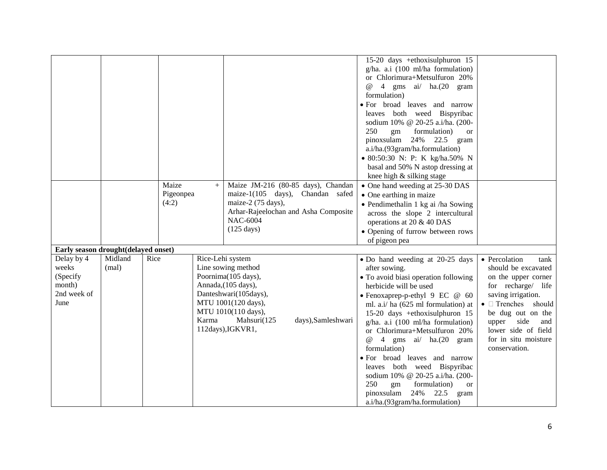|                                     |         |      |           |       |                                      | 15-20 days +ethoxisulphuron 15           |                                     |
|-------------------------------------|---------|------|-----------|-------|--------------------------------------|------------------------------------------|-------------------------------------|
|                                     |         |      |           |       |                                      | g/ha. a.i (100 ml/ha formulation)        |                                     |
|                                     |         |      |           |       |                                      | or Chlorimura+Metsulfuron 20%            |                                     |
|                                     |         |      |           |       |                                      | 4 gms ai/ ha.(20 gram<br>$\omega$        |                                     |
|                                     |         |      |           |       |                                      | formulation)                             |                                     |
|                                     |         |      |           |       |                                      | • For broad leaves and narrow            |                                     |
|                                     |         |      |           |       |                                      | leaves both weed Bispyribac              |                                     |
|                                     |         |      |           |       |                                      | sodium 10% @ 20-25 a.i/ha. (200-         |                                     |
|                                     |         |      |           |       |                                      | 250<br>formulation)<br>gm<br><b>or</b>   |                                     |
|                                     |         |      |           |       |                                      | pinoxsulam<br>24% 22.5<br>gram           |                                     |
|                                     |         |      |           |       |                                      | a.i/ha.(93gram/ha.formulation)           |                                     |
|                                     |         |      |           |       |                                      | • 80:50:30 N: P: K kg/ha.50% N           |                                     |
|                                     |         |      |           |       |                                      | basal and 50% N astop dressing at        |                                     |
|                                     |         |      |           |       |                                      | knee high & silking stage                |                                     |
|                                     |         |      | Maize     | $+$   | Maize JM-216 (80-85 days), Chandan   | • One hand weeding at 25-30 DAS          |                                     |
|                                     |         |      | Pigeonpea |       | maize-1(105 days), Chandan safed     | • One earthing in maize                  |                                     |
|                                     |         |      | (4:2)     |       | maize-2 (75 days),                   | • Pendimethalin 1 kg ai /ha Sowing       |                                     |
|                                     |         |      |           |       | Arhar-Rajeelochan and Asha Composite | across the slope 2 intercultural         |                                     |
|                                     |         |      |           |       | NAC-6004                             | operations at 20 & 40 DAS                |                                     |
|                                     |         |      |           |       | $(125 \text{ days})$                 | • Opening of furrow between rows         |                                     |
|                                     |         |      |           |       |                                      | of pigeon pea                            |                                     |
| Early season drought(delayed onset) |         |      |           |       |                                      |                                          |                                     |
| Delay by 4                          | Midland | Rice |           |       | Rice-Lehi system                     | • Do hand weeding at 20-25 days          | • Percolation<br>tank               |
| weeks                               | (mal)   |      |           |       | Line sowing method                   | after sowing.                            | should be excavated                 |
| (Specify                            |         |      |           |       | Poornima(105 days),                  |                                          |                                     |
| month)                              |         |      |           |       | Annada, (105 days),                  | • To avoid biasi operation following     | on the upper corner                 |
| 2nd week of                         |         |      |           |       | Danteshwari(105days),                | herbicide will be used                   | for recharge/ life                  |
| June                                |         |      |           |       | MTU 1001(120 days),                  | • Fenoxaprep-p-ethyl $9 \text{ EC}$ @ 60 | saving irrigation.                  |
|                                     |         |      |           |       |                                      | ml. a.i/ ha (625 ml formulation) at      | $\bullet$ $\square$ Trenches should |
|                                     |         |      |           | Karma | MTU 1010(110 days),                  | 15-20 days +ethoxisulphuron 15           | be dug out on the                   |
|                                     |         |      |           |       | Mahsuri(125<br>days), Samleshwari    | $g/ha$ . a.i (100 ml/ha formulation)     | side<br>upper<br>and                |
|                                     |         |      |           |       | 112days), IGKVR1,                    | or Chlorimura+Metsulfuron 20%            | lower side of field                 |
|                                     |         |      |           |       |                                      | 4 gms ai/ ha.(20 gram<br>$^{\copyright}$ | for in situ moisture                |
|                                     |         |      |           |       |                                      | formulation)                             | conservation.                       |
|                                     |         |      |           |       |                                      | • For broad leaves and narrow            |                                     |
|                                     |         |      |           |       |                                      | leaves both weed Bispyribac              |                                     |
|                                     |         |      |           |       |                                      | sodium 10% @ 20-25 a.i/ha. (200-         |                                     |
|                                     |         |      |           |       |                                      | 250<br>formulation)<br>gm<br><b>or</b>   |                                     |
|                                     |         |      |           |       |                                      | 24% 22.5<br>pinoxsulam<br>gram           |                                     |
|                                     |         |      |           |       |                                      | a.i/ha.(93gram/ha.formulation)           |                                     |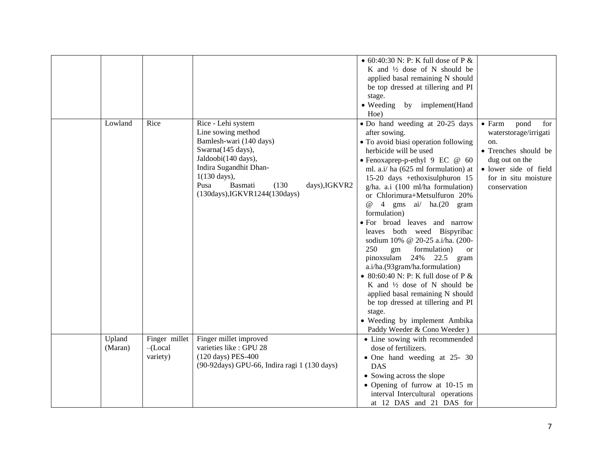|                   |                                         |                                                                                                                                                                                                                                                           | • 60:40:30 N: P: K full dose of P $&$<br>K and $\frac{1}{2}$ dose of N should be<br>applied basal remaining N should<br>be top dressed at tillering and PI<br>stage.<br>• Weeding by implement(Hand<br>Hoe)                                                                                                                                                                                                                                                                                                                                                                                                                                                                                                                                                                                                             |                                                                                                                                                                          |
|-------------------|-----------------------------------------|-----------------------------------------------------------------------------------------------------------------------------------------------------------------------------------------------------------------------------------------------------------|-------------------------------------------------------------------------------------------------------------------------------------------------------------------------------------------------------------------------------------------------------------------------------------------------------------------------------------------------------------------------------------------------------------------------------------------------------------------------------------------------------------------------------------------------------------------------------------------------------------------------------------------------------------------------------------------------------------------------------------------------------------------------------------------------------------------------|--------------------------------------------------------------------------------------------------------------------------------------------------------------------------|
| Lowland           | Rice                                    | Rice - Lehi system<br>Line sowing method<br>Bamlesh-wari (140 days)<br>Swarna(145 days),<br>Jaldoobi(140 days),<br>Indira Sugandhit Dhan-<br>$1(130 \text{ days})$ ,<br>Pusa<br><b>Basmati</b><br>(130)<br>days), IGKVR2<br>(130days), IGKVR1244(130days) | • Do hand weeding at 20-25 days<br>after sowing.<br>• To avoid biasi operation following<br>herbicide will be used<br>• Fenoxaprep-p-ethyl 9 EC @ 60<br>ml. a.i/ ha (625 ml formulation) at<br>15-20 days +ethoxisulphuron 15<br>$g/ha$ . a.i (100 ml/ha formulation)<br>or Chlorimura+Metsulfuron 20%<br>4 gms ai/ ha.(20 gram<br>$^{\circ}$<br>formulation)<br>• For broad leaves and narrow<br>leaves both weed Bispyribac<br>sodium 10% @ 20-25 a.i/ha. (200-<br>250<br>formulation)<br>gm<br><b>or</b><br>pinoxsulam $24\%$ 22.5<br>gram<br>a.i/ha.(93gram/ha.formulation)<br>• 80:60:40 N: P: K full dose of P $&$<br>K and $\frac{1}{2}$ dose of N should be<br>applied basal remaining N should<br>be top dressed at tillering and PI<br>stage.<br>• Weeding by implement Ambika<br>Paddy Weeder & Cono Weeder) | $\bullet$ Farm<br>pond<br>for<br>waterstorage/irrigati<br>on.<br>• Trenches should be<br>dug out on the<br>· lower side of field<br>for in situ moisture<br>conservation |
| Upland<br>(Maran) | Finger millet<br>$-$ (Local<br>variety) | Finger millet improved<br>varieties like : GPU 28<br>(120 days) PES-400<br>(90-92days) GPU-66, Indira ragi 1 (130 days)                                                                                                                                   | • Line sowing with recommended<br>dose of fertilizers.<br>• One hand weeding at 25- 30<br><b>DAS</b><br>• Sowing across the slope<br>• Opening of furrow at 10-15 m<br>interval Intercultural operations<br>at 12 DAS and 21 DAS for                                                                                                                                                                                                                                                                                                                                                                                                                                                                                                                                                                                    |                                                                                                                                                                          |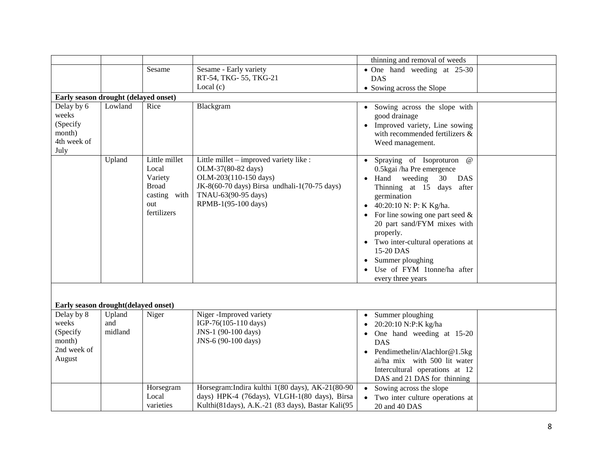|                                                                    |                          |                                                                                         |                                                                                                                                                                                      | thinning and removal of weeds                                                                                                                                                                                                                                                                                                                                                                 |  |
|--------------------------------------------------------------------|--------------------------|-----------------------------------------------------------------------------------------|--------------------------------------------------------------------------------------------------------------------------------------------------------------------------------------|-----------------------------------------------------------------------------------------------------------------------------------------------------------------------------------------------------------------------------------------------------------------------------------------------------------------------------------------------------------------------------------------------|--|
|                                                                    |                          | Sesame                                                                                  | Sesame - Early variety                                                                                                                                                               | • One hand weeding at 25-30                                                                                                                                                                                                                                                                                                                                                                   |  |
|                                                                    |                          |                                                                                         | RT-54, TKG-55, TKG-21                                                                                                                                                                | <b>DAS</b>                                                                                                                                                                                                                                                                                                                                                                                    |  |
|                                                                    |                          |                                                                                         | Local $(c)$                                                                                                                                                                          | • Sowing across the Slope                                                                                                                                                                                                                                                                                                                                                                     |  |
| Early season drought (delayed onset)                               |                          |                                                                                         |                                                                                                                                                                                      |                                                                                                                                                                                                                                                                                                                                                                                               |  |
| Delay by 6<br>weeks<br>(Specify<br>month)<br>4th week of<br>July   | Lowland                  | Rice                                                                                    | Blackgram                                                                                                                                                                            | Sowing across the slope with<br>good drainage<br>Improved variety, Line sowing<br>with recommended fertilizers &<br>Weed management.                                                                                                                                                                                                                                                          |  |
|                                                                    | Upland                   | Little millet<br>Local<br>Variety<br><b>Broad</b><br>casting with<br>out<br>fertilizers | Little millet – improved variety like :<br>OLM-37(80-82 days)<br>OLM-203(110-150 days)<br>JK-8(60-70 days) Birsa undhali-1(70-75 days)<br>TNAU-63(90-95 days)<br>RPMB-1(95-100 days) | • Spraying of Isoproturon<br>$^{\,a}$<br>0.5 kgai /ha Pre emergence<br>Hand<br>weeding<br>30<br><b>DAS</b><br>Thinning at 15 days after<br>germination<br>40:20:10 N: P: K Kg/ha.<br>For line sowing one part seed $\&$<br>20 part sand/FYM mixes with<br>properly.<br>• Two inter-cultural operations at<br>15-20 DAS<br>Summer ploughing<br>Use of FYM 1tonne/ha after<br>every three years |  |
| Early season drought(delayed onset)                                |                          |                                                                                         |                                                                                                                                                                                      |                                                                                                                                                                                                                                                                                                                                                                                               |  |
| Delay by 8<br>weeks<br>(Specify<br>month)<br>2nd week of<br>August | Upland<br>and<br>midland | Niger                                                                                   | Niger-Improved variety<br>IGP-76(105-110 days)<br>JNS-1 (90-100 days)<br>JNS-6 (90-100 days)                                                                                         | Summer ploughing<br>20:20:10 N:P:K kg/ha<br>One hand weeding at 15-20<br><b>DAS</b><br>Pendimethelin/Alachlor@1.5kg<br>ai/ha mix with 500 lit water<br>Intercultural operations at 12<br>DAS and 21 DAS for thinning                                                                                                                                                                          |  |
|                                                                    |                          | Horsegram<br>Local<br>varieties                                                         | Horsegram: Indira kulthi 1(80 days), AK-21(80-90<br>days) HPK-4 (76days), VLGH-1(80 days), Birsa<br>Kulthi(81days), A.K.-21 (83 days), Bastar Kali(95                                | Sowing across the slope<br>Two inter culture operations at<br>20 and 40 DAS                                                                                                                                                                                                                                                                                                                   |  |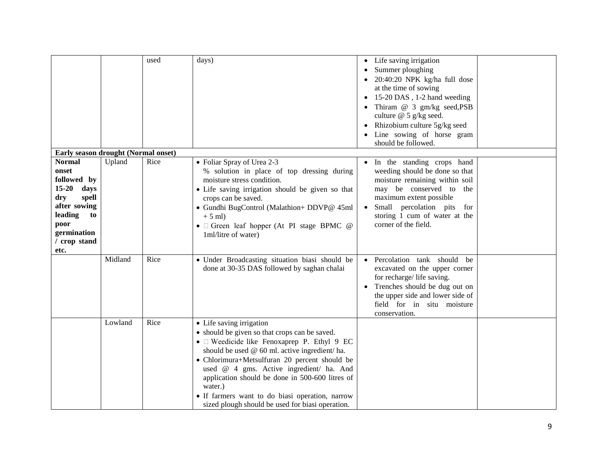|                                                                                                                                                            |         | used | days)                                                                                                                                                                                                                                                                                                                                                                                                                                        | Life saving irrigation<br>Summer ploughing<br>20:40:20 NPK kg/ha full dose<br>at the time of sowing<br>15-20 DAS, 1-2 hand weeding<br>$\bullet$<br>Thiram @ 3 gm/kg seed, PSB<br>culture @ 5 g/kg seed.<br>Rhizobium culture 5g/kg seed<br>Line sowing of horse gram<br>should be followed. |
|------------------------------------------------------------------------------------------------------------------------------------------------------------|---------|------|----------------------------------------------------------------------------------------------------------------------------------------------------------------------------------------------------------------------------------------------------------------------------------------------------------------------------------------------------------------------------------------------------------------------------------------------|---------------------------------------------------------------------------------------------------------------------------------------------------------------------------------------------------------------------------------------------------------------------------------------------|
| Early season drought (Normal onset)                                                                                                                        |         |      |                                                                                                                                                                                                                                                                                                                                                                                                                                              |                                                                                                                                                                                                                                                                                             |
| <b>Normal</b><br>onset<br>followed by<br>$15 - 20$<br>days<br>spell<br>dry<br>after sowing<br>leading<br>to<br>poor<br>germination<br>/ crop stand<br>etc. | Upland  | Rice | • Foliar Spray of Urea 2-3<br>% solution in place of top dressing during<br>moisture stress condition.<br>• Life saving irrigation should be given so that<br>crops can be saved.<br>· Gundhi BugControl (Malathion+ DDVP@ 45ml<br>$+5$ ml)<br>• $\Box$ Green leaf hopper (At PI stage BPMC $@$<br>1ml/litre of water)                                                                                                                       | In the standing crops hand<br>weeding should be done so that<br>moisture remaining within soil<br>may be conserved to<br>the<br>maximum extent possible<br>Small percolation pits<br>for<br>storing 1 cum of water at the<br>corner of the field.                                           |
|                                                                                                                                                            | Midland | Rice | · Under Broadcasting situation biasi should be<br>done at 30-35 DAS followed by saghan chalai                                                                                                                                                                                                                                                                                                                                                | · Percolation tank should be<br>excavated on the upper corner<br>for recharge/life saving.<br>Trenches should be dug out on<br>$\bullet$<br>the upper side and lower side of<br>field for in situ moisture<br>conservation.                                                                 |
|                                                                                                                                                            | Lowland | Rice | • Life saving irrigation<br>• should be given so that crops can be saved.<br>• I Weedicide like Fenoxaprep P. Ethyl 9 EC<br>should be used @ 60 ml. active ingredient/ ha.<br>• Chlorimura+Metsulfuran 20 percent should be<br>used @ 4 gms. Active ingredient/ ha. And<br>application should be done in 500-600 litres of<br>water.)<br>• If farmers want to do biasi operation, narrow<br>sized plough should be used for biasi operation. |                                                                                                                                                                                                                                                                                             |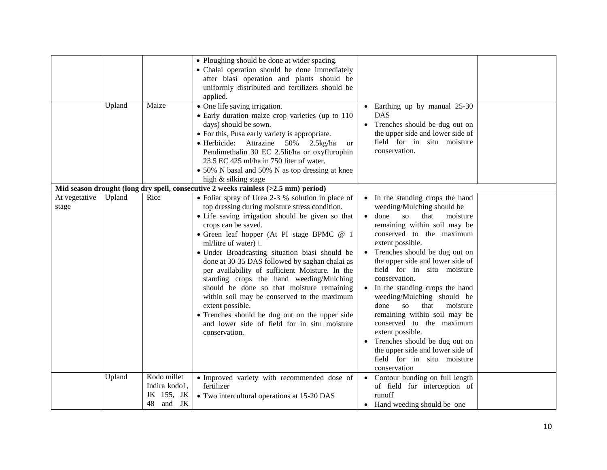|                        |        |                                                            | • Ploughing should be done at wider spacing.<br>• Chalai operation should be done immediately<br>after biasi operation and plants should be<br>uniformly distributed and fertilizers should be<br>applied.                                                                                                                                                                                                                                                                                                                                                                                                                                                                                     |                                                                                                                                                                                                                                                                                                                                                                                                                                                                                                                                                                                                                                             |  |
|------------------------|--------|------------------------------------------------------------|------------------------------------------------------------------------------------------------------------------------------------------------------------------------------------------------------------------------------------------------------------------------------------------------------------------------------------------------------------------------------------------------------------------------------------------------------------------------------------------------------------------------------------------------------------------------------------------------------------------------------------------------------------------------------------------------|---------------------------------------------------------------------------------------------------------------------------------------------------------------------------------------------------------------------------------------------------------------------------------------------------------------------------------------------------------------------------------------------------------------------------------------------------------------------------------------------------------------------------------------------------------------------------------------------------------------------------------------------|--|
|                        | Upland | Maize                                                      | • One life saving irrigation.<br>• Early duration maize crop varieties (up to 110<br>days) should be sown.<br>• For this, Pusa early variety is appropriate.<br>• Herbicide: Attrazine 50%<br>$2.5$ kg/ha<br>or<br>Pendimethalin 30 EC 2.5lit/ha or oxyflurophin<br>23.5 EC 425 ml/ha in 750 liter of water.<br>• 50% N basal and 50% N as top dressing at knee<br>high & silking stage                                                                                                                                                                                                                                                                                                        | • Earthing up by manual 25-30<br><b>DAS</b><br>Trenches should be dug out on<br>the upper side and lower side of<br>field for in situ moisture<br>conservation.                                                                                                                                                                                                                                                                                                                                                                                                                                                                             |  |
|                        |        |                                                            | Mid season drought (long dry spell, consecutive 2 weeks rainless (>2.5 mm) period)                                                                                                                                                                                                                                                                                                                                                                                                                                                                                                                                                                                                             |                                                                                                                                                                                                                                                                                                                                                                                                                                                                                                                                                                                                                                             |  |
| At vegetative<br>stage | Upland | Rice                                                       | • Foliar spray of Urea 2-3 % solution in place of<br>top dressing during moisture stress condition.<br>• Life saving irrigation should be given so that<br>crops can be saved.<br>• Green leaf hopper (At PI stage BPMC @ 1<br>ml/litre of water) $\Box$<br>· Under Broadcasting situation biasi should be<br>done at 30-35 DAS followed by saghan chalai as<br>per availability of sufficient Moisture. In the<br>standing crops the hand weeding/Mulching<br>should be done so that moisture remaining<br>within soil may be conserved to the maximum<br>extent possible.<br>• Trenches should be dug out on the upper side<br>and lower side of field for in situ moisture<br>conservation. | • In the standing crops the hand<br>weeding/Mulching should be<br>$\bullet$ done<br>SO <sub>2</sub><br>that<br>moisture<br>remaining within soil may be<br>conserved to the maximum<br>extent possible.<br>• Trenches should be dug out on<br>the upper side and lower side of<br>field for in situ moisture<br>conservation.<br>In the standing crops the hand<br>weeding/Mulching should be<br><b>SO</b><br>that<br>done<br>moisture<br>remaining within soil may be<br>conserved to the maximum<br>extent possible.<br>• Trenches should be dug out on<br>the upper side and lower side of<br>field for in situ moisture<br>conservation |  |
|                        | Upland | Kodo millet<br>Indira kodo1,<br>JK 155, JK<br>and JK<br>48 | · Improved variety with recommended dose of<br>fertilizer<br>• Two intercultural operations at 15-20 DAS                                                                                                                                                                                                                                                                                                                                                                                                                                                                                                                                                                                       | • Contour bunding on full length<br>of field for interception of<br>runoff<br>• Hand weeding should be one                                                                                                                                                                                                                                                                                                                                                                                                                                                                                                                                  |  |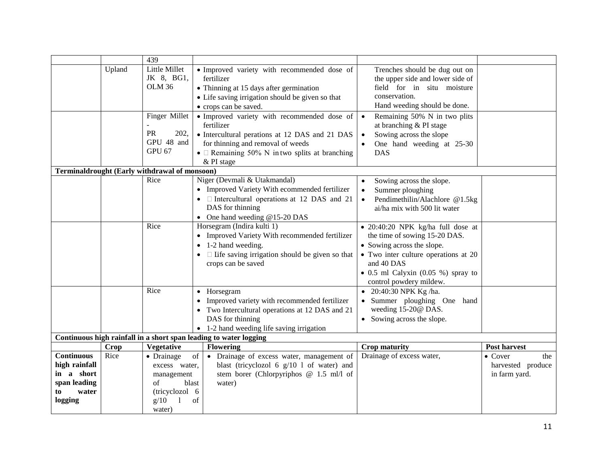|                   |             | 439                                           |                                                                   |                                             |                        |
|-------------------|-------------|-----------------------------------------------|-------------------------------------------------------------------|---------------------------------------------|------------------------|
|                   | Upland      | Little Millet                                 | • Improved variety with recommended dose of                       | Trenches should be dug out on               |                        |
|                   |             | JK 8, BG1,                                    | fertilizer                                                        | the upper side and lower side of            |                        |
|                   |             | <b>OLM 36</b>                                 | • Thinning at 15 days after germination                           | field for in situ moisture                  |                        |
|                   |             |                                               | • Life saving irrigation should be given so that                  | conservation.                               |                        |
|                   |             |                                               | • crops can be saved.                                             | Hand weeding should be done.                |                        |
|                   |             | Finger Millet                                 | · Improved variety with recommended dose of                       | Remaining 50% N in two plits<br>$\bullet$   |                        |
|                   |             |                                               | fertilizer                                                        | at branching & PI stage                     |                        |
|                   |             | PR<br>202,                                    | • Intercultural perations at 12 DAS and 21 DAS                    | Sowing across the slope<br>$\bullet$        |                        |
|                   |             | GPU 48 and                                    | for thinning and removal of weeds                                 | One hand weeding at 25-30                   |                        |
|                   |             | GPU 67                                        | • $\Box$ Remaining 50% N in two splits at branching               | <b>DAS</b>                                  |                        |
|                   |             |                                               | & PI stage                                                        |                                             |                        |
|                   |             | Terminaldrought (Early withdrawal of monsoon) |                                                                   |                                             |                        |
|                   |             | Rice                                          | Niger (Devmali & Utakmandal)                                      | Sowing across the slope.<br>$\bullet$       |                        |
|                   |             |                                               | • Improved Variety With ecommended fertilizer                     | Summer ploughing<br>$\bullet$               |                        |
|                   |             |                                               | • $\Box$ Intercultural operations at 12 DAS and 21                | Pendimethilin/Alachlore @1.5kg<br>$\bullet$ |                        |
|                   |             |                                               | DAS for thinning                                                  | ai/ha mix with 500 lit water                |                        |
|                   |             |                                               | • One hand weeding $@15-20$ DAS                                   |                                             |                        |
|                   |             | Rice                                          | Horsegram (Indira kulti 1)                                        | · 20:40:20 NPK kg/ha full dose at           |                        |
|                   |             |                                               | • Improved Variety With recommended fertilizer                    | the time of sowing 15-20 DAS.               |                        |
|                   |             |                                               | $\bullet$ 1-2 hand weeding.                                       | • Sowing across the slope.                  |                        |
|                   |             |                                               | $\bullet$ $\Box$ Life saving irrigation should be given so that   | • Two inter culture operations at 20        |                        |
|                   |             |                                               | crops can be saved                                                | and 40 DAS                                  |                        |
|                   |             |                                               |                                                                   | $\bullet$ 0.5 ml Calyxin (0.05 %) spray to  |                        |
|                   |             |                                               |                                                                   | control powdery mildew.                     |                        |
|                   |             | Rice                                          | • Horsegram                                                       | • 20:40:30 NPK Kg /ha.                      |                        |
|                   |             |                                               | • Improved variety with recommended fertilizer                    | • Summer ploughing One hand                 |                        |
|                   |             |                                               | • Two Intercultural operations at 12 DAS and 21                   | weeding 15-20@ DAS.                         |                        |
|                   |             |                                               | DAS for thinning                                                  | • Sowing across the slope.                  |                        |
|                   |             |                                               | • 1-2 hand weeding life saving irrigation                         |                                             |                        |
|                   |             |                                               | Continuous high rainfall in a short span leading to water logging |                                             |                        |
|                   | <b>Crop</b> | Vegetative                                    | <b>Flowering</b>                                                  | <b>Crop maturity</b>                        | <b>Post harvest</b>    |
| <b>Continuous</b> | Rice        | of<br>• Drainage                              | • Drainage of excess water, management of                         | Drainage of excess water,                   | $\bullet$ Cover<br>the |
| high rainfall     |             | excess water,                                 | blast (tricyclozol 6 $g/10$ 1 of water) and                       |                                             | harvested produce      |
| in a short        |             | management                                    | stem borer (Chlorpyriphos @ 1.5 ml/l of                           |                                             | in farm yard.          |
| span leading      |             | of<br>blast                                   | water)                                                            |                                             |                        |
| water<br>to       |             | (tricyclozol 6                                |                                                                   |                                             |                        |
| logging           |             | g/10<br>of<br>1                               |                                                                   |                                             |                        |
|                   |             | water)                                        |                                                                   |                                             |                        |